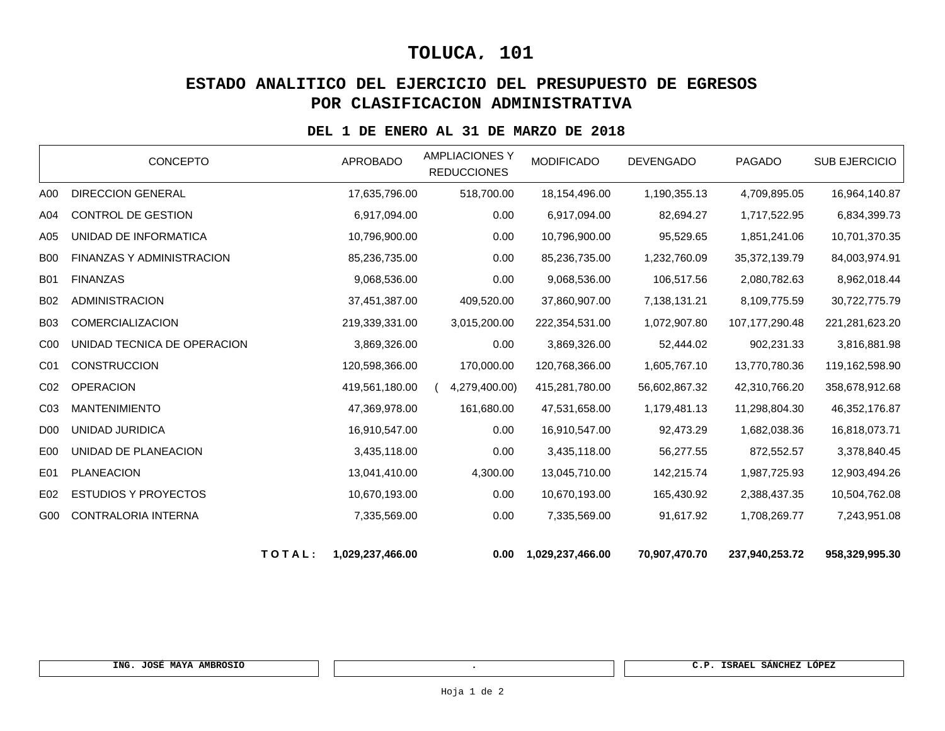# **TOLUCA, 101**

## **ESTADO ANALITICO DEL EJERCICIO DEL PRESUPUESTO DE EGRESOS POR CLASIFICACION ADMINISTRATIVA**

#### **DEL 1 DE ENERO AL 31 DE MARZO DE 2018**

|                 |                                  | TOTAL: | 1,029,237,466.00 | 0.00                                        | 1,029,237,466.00  | 70,907,470.70    | 237,940,253.72 | 958,329,995.30 |
|-----------------|----------------------------------|--------|------------------|---------------------------------------------|-------------------|------------------|----------------|----------------|
| G00             | <b>CONTRALORIA INTERNA</b>       |        | 7,335,569.00     | 0.00                                        | 7,335,569.00      | 91,617.92        | 1,708,269.77   | 7,243,951.08   |
| E02             | <b>ESTUDIOS Y PROYECTOS</b>      |        | 10,670,193.00    | 0.00                                        | 10,670,193.00     | 165,430.92       | 2,388,437.35   | 10,504,762.08  |
| E01             | <b>PLANEACION</b>                |        | 13,041,410.00    | 4,300.00                                    | 13,045,710.00     | 142,215.74       | 1,987,725.93   | 12,903,494.26  |
| E <sub>0</sub>  | UNIDAD DE PLANEACION             |        | 3,435,118.00     | 0.00                                        | 3,435,118.00      | 56,277.55        | 872,552.57     | 3,378,840.45   |
| D <sub>00</sub> | UNIDAD JURIDICA                  |        | 16,910,547.00    | 0.00                                        | 16,910,547.00     | 92,473.29        | 1,682,038.36   | 16,818,073.71  |
| CO <sub>3</sub> | <b>MANTENIMIENTO</b>             |        | 47,369,978.00    | 161,680.00                                  | 47,531,658.00     | 1,179,481.13     | 11,298,804.30  | 46,352,176.87  |
| CO <sub>2</sub> | <b>OPERACION</b>                 |        | 419,561,180.00   | 4,279,400.00)                               | 415,281,780.00    | 56,602,867.32    | 42,310,766.20  | 358,678,912.68 |
| C <sub>01</sub> | <b>CONSTRUCCION</b>              |        | 120,598,366.00   | 170,000.00                                  | 120,768,366.00    | 1,605,767.10     | 13,770,780.36  | 119,162,598.90 |
| C <sub>00</sub> | UNIDAD TECNICA DE OPERACION      |        | 3,869,326.00     | 0.00                                        | 3,869,326.00      | 52,444.02        | 902,231.33     | 3,816,881.98   |
| <b>B03</b>      | COMERCIALIZACION                 |        | 219,339,331.00   | 3,015,200.00                                | 222,354,531.00    | 1,072,907.80     | 107,177,290.48 | 221,281,623.20 |
| <b>B02</b>      | <b>ADMINISTRACION</b>            |        | 37,451,387.00    | 409,520.00                                  | 37,860,907.00     | 7,138,131.21     | 8,109,775.59   | 30,722,775.79  |
| <b>B01</b>      | <b>FINANZAS</b>                  |        | 9,068,536.00     | 0.00                                        | 9,068,536.00      | 106,517.56       | 2,080,782.63   | 8,962,018.44   |
| <b>B00</b>      | <b>FINANZAS Y ADMINISTRACION</b> |        | 85,236,735.00    | 0.00                                        | 85,236,735.00     | 1,232,760.09     | 35,372,139.79  | 84,003,974.91  |
| A05             | UNIDAD DE INFORMATICA            |        | 10,796,900.00    | 0.00                                        | 10,796,900.00     | 95,529.65        | 1,851,241.06   | 10,701,370.35  |
| A04             | CONTROL DE GESTION               |        | 6,917,094.00     | 0.00                                        | 6,917,094.00      | 82,694.27        | 1,717,522.95   | 6,834,399.73   |
| A00             | <b>DIRECCION GENERAL</b>         |        | 17,635,796.00    | 518,700.00                                  | 18,154,496.00     | 1,190,355.13     | 4,709,895.05   | 16,964,140.87  |
|                 | <b>CONCEPTO</b>                  |        | <b>APROBADO</b>  | <b>AMPLIACIONES Y</b><br><b>REDUCCIONES</b> | <b>MODIFICADO</b> | <b>DEVENGADO</b> | <b>PAGADO</b>  | SUB EJERCICIO  |